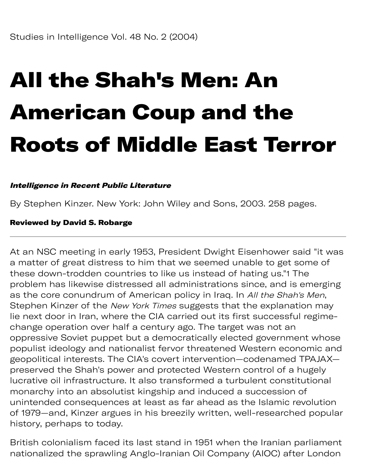# All the Shah's Men: An American Coup and the Roots of Middle East Terror

### Intelligence in Recent Public Literature

By Stephen Kinzer. New York: John Wiley and Sons, 2003. 258 pages.

#### Reviewed by David S. Robarge

At an NSC meeting in early 1953, President Dwight Eisenhower said "it was a matter of great distress to him that we seemed unable to get some of these down-trodden countries to like us instead of hating us."1 The problem has likewise distressed all administrations since, and is emerging as the core conundrum of American policy in Iraq. In All the Shah's Men, Stephen Kinzer of the New York Times suggests that the explanation may lie next door in Iran, where the CIA carried out its first successful regimechange operation over half a century ago. The target was not an oppressive Soviet puppet but a democratically elected government whose populist ideology and nationalist fervor threatened Western economic and geopolitical interests. The CIA's covert intervention—codenamed TPAJAX preserved the Shah's power and protected Western control of a hugely lucrative oil infrastructure. It also transformed a turbulent constitutional monarchy into an absolutist kingship and induced a succession of unintended consequences at least as far ahead as the Islamic revolution of 1979—and, Kinzer argues in his breezily written, well-researched popular history, perhaps to today.

British colonialism faced its last stand in 1951 when the Iranian parliament nationalized the sprawling Anglo-Iranian Oil Company (AIOC) after London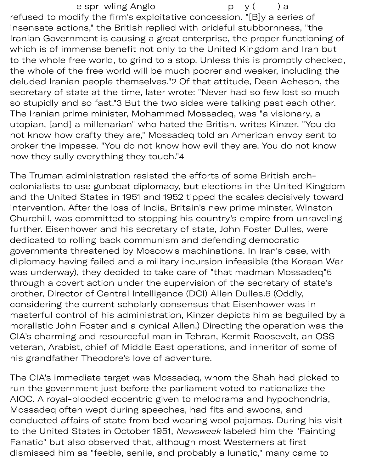e spr wling Anglo b (b) a refused to modify the firm's exploitative concession. "[B]y a series of insensate actions," the British replied with prideful stubbornness, "the Iranian Government is causing a great enterprise, the proper functioning of which is of immense benefit not only to the United Kingdom and Iran but to the whole free world, to grind to a stop. Unless this is promptly checked, the whole of the free world will be much poorer and weaker, including the deluded Iranian people themselves."2 Of that attitude, Dean Acheson, the secretary of state at the time, later wrote: "Never had so few lost so much so stupidly and so fast."3 But the two sides were talking past each other. The Iranian prime minister, Mohammed Mossadeq, was "a visionary, a utopian, [and] a millenarian" who hated the British, writes Kinzer. "You do not know how crafty they are," Mossadeq told an American envoy sent to broker the impasse. "You do not know how evil they are. You do not know how they sully everything they touch."4

The Truman administration resisted the efforts of some British archcolonialists to use gunboat diplomacy, but elections in the United Kingdom and the United States in 1951 and 1952 tipped the scales decisively toward intervention. After the loss of India, Britain's new prime minster, Winston Churchill, was committed to stopping his country's empire from unraveling further. Eisenhower and his secretary of state, John Foster Dulles, were dedicated to rolling back communism and defending democratic governments threatened by Moscow's machinations. In Iran's case, with diplomacy having failed and a military incursion infeasible (the Korean War was underway), they decided to take care of "that madman Mossadeq" 5 through a covert action under the supervision of the secretary of state's brother, Director of Central Intelligence (DCI) Allen Dulles.6 (Oddly, considering the current scholarly consensus that Eisenhower was in masterful control of his administration, Kinzer depicts him as beguiled by a moralistic John Foster and a cynical Allen.) Directing the operation was the CIA's charming and resourceful man in Tehran, Kermit Roosevelt, an OSS veteran, Arabist, chief of Middle East operations, and inheritor of some of his grandfather Theodore's love of adventure.

The CIA's immediate target was Mossadeq, whom the Shah had picked to run the government just before the parliament voted to nationalize the AIOC. A royal-blooded eccentric given to melodrama and hypochondria, Mossadeq often wept during speeches, had fits and swoons, and conducted affairs of state from bed wearing wool pajamas. During his visit to the United States in October 1951, Newsweek labeled him the "Fainting Fanatic" but also observed that, although most Westerners at first dismissed him as "feeble, senile, and probably a lunatic," many came to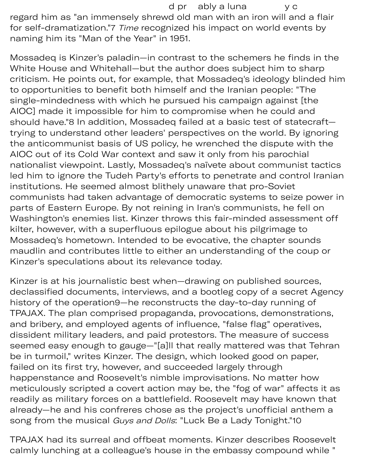d pr ably a luna y c regard him as "an immensely shrewd old man with an iron will and a flair for self-dramatization."7 Time recognized his impact on world events by naming him its "Man of the Year" in 1951.

Mossadeq is Kinzer's paladin—in contrast to the schemers he finds in the White House and Whitehall—but the author does subject him to sharp criticism. He points out, for example, that Mossadeq's ideology blinded him to opportunities to benefit both himself and the Iranian people: "The single-mindedness with which he pursued his campaign against [the AIOC] made it impossible for him to compromise when he could and should have."8 In addition, Mossadeq failed at a basic test of statecraft trying to understand other leaders' perspectives on the world. By ignoring the anticommunist basis of US policy, he wrenched the dispute with the AIOC out of its Cold War context and saw it only from his parochial nationalist viewpoint. Lastly, Mossadeq's naïvete about communist tactics led him to ignore the Tudeh Party's efforts to penetrate and control Iranian institutions. He seemed almost blithely unaware that pro-Soviet communists had taken advantage of democratic systems to seize power in parts of Eastern Europe. By not reining in Iran's communists, he fell on Washington's enemies list. Kinzer throws this fair-minded assessment off kilter, however, with a superfluous epilogue about his pilgrimage to Mossadeq's hometown. Intended to be evocative, the chapter sounds maudlin and contributes little to either an understanding of the coup or Kinzer's speculations about its relevance today.

Kinzer is at his journalistic best when—drawing on published sources, declassified documents, interviews, and a bootleg copy of a secret Agency history of the operation9—he reconstructs the day-to-day running of TPAJAX. The plan comprised propaganda, provocations, demonstrations, and bribery, and employed agents of influence, "false flag" operatives, dissident military leaders, and paid protestors. The measure of success seemed easy enough to gauge—"[a]ll that really mattered was that Tehran be in turmoil," writes Kinzer. The design, which looked good on paper, failed on its first try, however, and succeeded largely through happenstance and Roosevelt's nimble improvisations. No matter how meticulously scripted a covert action may be, the "fog of war" affects it as readily as military forces on a battlefield. Roosevelt may have known that already—he and his confreres chose as the project's unofficial anthem a song from the musical Guys and Dolls: "Luck Be a Lady Tonight."10

TPAJAX had its surreal and offbeat moments. Kinzer describes Roosevelt calmly lunching at a colleague's house in the embassy compound while "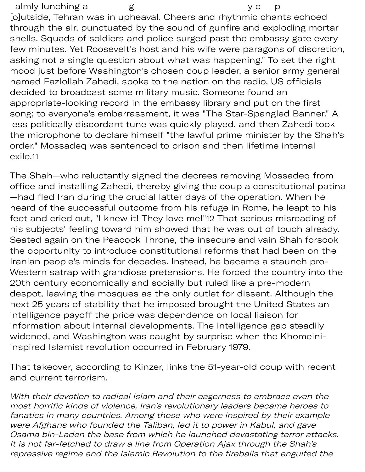almly lunching a g y c p [o]utside, Tehran was in upheaval. Cheers and rhythmic chants echoed through the air, punctuated by the sound of gunfire and exploding mortar shells. Squads of soldiers and police surged past the embassy gate every few minutes. Yet Roosevelt's host and his wife were paragons of discretion, asking not a single question about what was happening." To set the right mood just before Washington's chosen coup leader, a senior army general named Fazlollah Zahedi, spoke to the nation on the radio, US officials decided to broadcast some military music. Someone found an appropriate-looking record in the embassy library and put on the first song; to everyone's embarrassment, it was "The Star-Spangled Banner." A less politically discordant tune was quickly played, and then Zahedi took the microphone to declare himself "the lawful prime minister by the Shah's order." Mossadeq was sentenced to prison and then lifetime internal [exile.11](https://exile.11)

The Shah—who reluctantly signed the decrees removing Mossadeq from office and installing Zahedi, thereby giving the coup a constitutional patina —had fled Iran during the crucial latter days of the operation. When he heard of the successful outcome from his refuge in Rome, he leapt to his feet and cried out, "I knew it! They love me!"12 That serious misreading of his subjects' feeling toward him showed that he was out of touch already. Seated again on the Peacock Throne, the insecure and vain Shah forsook the opportunity to introduce constitutional reforms that had been on the Iranian people's minds for decades. Instead, he became a staunch pro-Western satrap with grandiose pretensions. He forced the country into the 20th century economically and socially but ruled like a pre-modern despot, leaving the mosques as the only outlet for dissent. Although the next 25 years of stability that he imposed brought the United States an intelligence payoff the price was dependence on local liaison for information about internal developments. The intelligence gap steadily widened, and Washington was caught by surprise when the Khomeiniinspired Islamist revolution occurred in February 1979.

That takeover, according to Kinzer, links the 51-year-old coup with recent and current terrorism.

With their devotion to radical Islam and their eagerness to embrace even the most horrific kinds of violence, Iran's revolutionary leaders became heroes to fanatics in many countries. Among those who were inspired by their example were Afghans who founded the Taliban, led it to power in Kabul, and gave Osama bin-Laden the base from which he launched devastating terror attacks. It is not far-fetched to draw a line from Operation Ajax through the Shah's repressive regime and the Islamic Revolution to the fireballs that engulfed the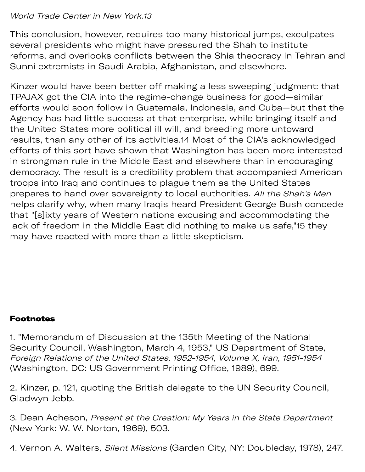## World Trade Center in New York.13

This conclusion, however, requires too many historical jumps, exculpates several presidents who might have pressured the Shah to institute reforms, and overlooks conflicts between the Shia theocracy in Tehran and Sunni extremists in Saudi Arabia, Afghanistan, and elsewhere.

Kinzer would have been better off making a less sweeping judgment: that TPAJAX got the CIA into the regime-change business for good—similar efforts would soon follow in Guatemala, Indonesia, and Cuba—but that the Agency has had little success at that enterprise, while bringing itself and the United States more political ill will, and breeding more untoward results, than any other of its activities.14 Most of the CIA's acknowledged efforts of this sort have shown that Washington has been more interested in strongman rule in the Middle East and elsewhere than in encouraging democracy. The result is a credibility problem that accompanied American troops into Iraq and continues to plague them as the United States prepares to hand over sovereignty to local authorities. All the Shah's Men helps clarify why, when many Iraqis heard President George Bush concede that "[s]ixty years of Western nations excusing and accommodating the lack of freedom in the Middle East did nothing to make us safe,"15 they may have reacted with more than a little skepticism.

## Footnotes

1. "Memorandum of Discussion at the 135th Meeting of the National Security Council, Washington, March 4, 1953," US Department of State, Foreign Relations of the United States, 1952-1954, Volume X, Iran, 1951-1954 (Washington, DC: US Government Printing Office, 1989), 699.

2. Kinzer, p. 121, quoting the British delegate to the UN Security Council, Gladwyn Jebb.

3. Dean Acheson, Present at the Creation: My Years in the State Department (New York: W. W. Norton, 1969), 503.

4. Vernon A. Walters, Silent Missions (Garden City, NY: Doubleday, 1978), 247.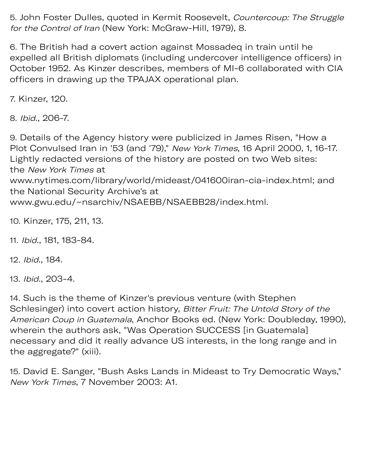5. John Foster Dulles, quoted in Kermit Roosevelt, Countercoup: The Struggle for the Control of Iran (New York: McGraw-Hill, 1979), 8.

6. The British had a covert action against Mossadeq in train until he expelled all British diplomats (including undercover intelligence officers) in October 1952. As Kinzer describes, members of MI-6 collaborated with CIA officers in drawing up the TPAJAX operational plan.

7. Kinzer, 120.

8. Ibid., 206-7.

9. Details of the Agency history were publicized in James Risen, "How a Plot Convulsed Iran in '53 (and '79)," New York Times, 16 April 2000, 1, 16-17. Lightly redacted versions of the history are posted on two Web sites: the New York Times at [www.nytimes.com/library/world/mideast/041600iran-cia-index.html;](www.nytimes.com/library/world/mideast/041600iran-cia-index.html) and the National Security Archive's at [www.gwu.edu/~nsarchiv/NSAEBB/NSAEBB28/index.html.](www.gwu.edu/~nsarchiv/NSAEBB/NSAEBB28/index.html)

10. Kinzer, 175, 211, 13.

11. Ibid., 181, 183-84.

12. Ibid., 184.

13. Ibid., 203-4.

14. Such is the theme of Kinzer's previous venture (with Stephen Schlesinger) into covert action history, Bitter Fruit: The Untold Story of the American Coup in Guatemala, Anchor Books ed. (New York: Doubleday, 1990), wherein the authors ask, "Was Operation SUCCESS [in Guatemala] necessary and did it really advance US interests, in the long range and in the aggregate?" (xiii).

15. David E. Sanger, "Bush Asks Lands in Mideast to Try Democratic Ways," New York Times, 7 November 2003: A1.